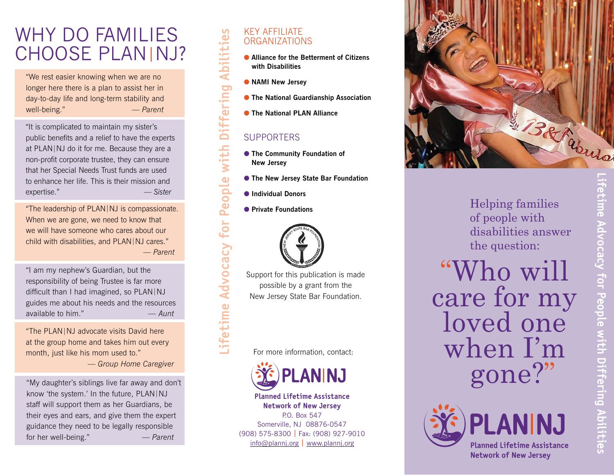## WHY DO FAMILIES CHOOSE PLAN|NJ?

"We rest easier knowing when we are no longer here there is a plan to assist her in day-to-day life and long-term stability and well-being." — *Parent*

"It is complicated to maintain my sister's public benefits and a relief to have the experts at PLAN |NJ do it for me. Because they are a non-profit corporate trustee, they can ensure that her Special Needs Trust funds are used to enhance her life. This is their mission and expertise." — *Sister*

"The leadership of PLAN |NJ is compassionate. When we are gone, we need to know that we will have someone who cares about our child with disabilities, and PLAN |NJ cares." — *Parent* 

"I am my nephew's Guardian, but the responsibility of being Trustee is far more difficult than I had imagined, so PLAN |NJ guides me about his needs and the resources available to him." *— Aunt*

"The PLAN |NJ advocate visits David here at the group home and takes him out every month, just like his mom used to." — *Group Home Caregiver*

"My daughter's siblings live far away and don't know 'the system.' In the future, PLAN |NJ staff will support them as her Guardians, be their eyes and ears, and give them the expert guidance they need to be legally responsible for her well-being." — *Parent*

#### KEY AFFILIATE ORGANIZATIONS

- Alliance for the Betterment of Citizens **with Disabilities**
- **NAMI New Jersey**
- **The National Guardianship Association**
- **The National PLAN Alliance**

#### **SUPPORTERS**

- **The Community Foundation of New Jersey**
- **The New Jersey State Bar Foundation**
- $\bullet$  **Individual Donors**

**Lifetime Advocacy for People with Differing Abilities**

People

for

Advocacy

etime

with

Abilities

Differing

**• Private Foundations** 



Support for this publication is made possible by a grant from the New Jersey State Bar Foundation.

For more information, contact:



**Planned Lifetime Assistance Network of New Jersey** P.O. Box 547 Somerville, NJ 08876-0547 (908) 575-8300 **|** Fax: (908) 927-9010 [info@plannj.org](mailto:info%40plannj.org?subject=) **|** [www.plannj.org](https://plannj.org/)



Helping families of people with disabilities answer the question:

"Who will care for my loved one when I'm gone?"



**Lifetime Advocacy for People with Differing Abilities** Fetime Advocacy for People with Differing Abilities